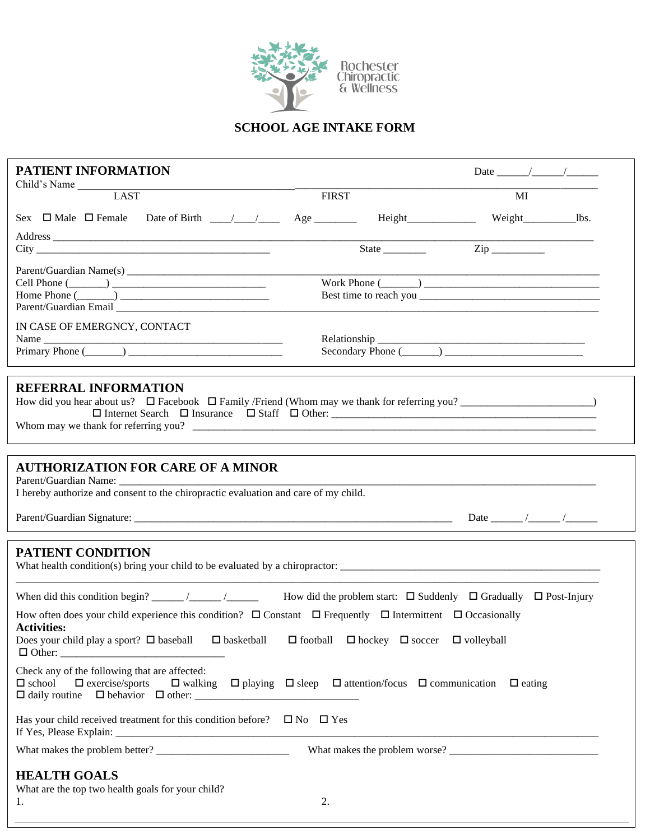

## **SCHOOL AGE INTAKE FORM**

| <b>PATIENT INFORMATION</b>                                                                                                                                                                                                                                                   |              |                                                               |                                                                                       |  |
|------------------------------------------------------------------------------------------------------------------------------------------------------------------------------------------------------------------------------------------------------------------------------|--------------|---------------------------------------------------------------|---------------------------------------------------------------------------------------|--|
| Child's Name LAST                                                                                                                                                                                                                                                            | <b>FIRST</b> |                                                               | MI                                                                                    |  |
|                                                                                                                                                                                                                                                                              |              |                                                               |                                                                                       |  |
| City                                                                                                                                                                                                                                                                         |              |                                                               |                                                                                       |  |
| Cell Phone $(\_\_)$<br>Home Phone $(\_\_)$<br>Parent/Guardian Email and the control of the control of the control of the control of the control of the control of the control of the control of the control of the control of the control of the control of the control of t |              |                                                               |                                                                                       |  |
| IN CASE OF EMERGNCY, CONTACT                                                                                                                                                                                                                                                 |              |                                                               |                                                                                       |  |
| <b>REFERRAL INFORMATION</b>                                                                                                                                                                                                                                                  |              |                                                               |                                                                                       |  |
| <b>AUTHORIZATION FOR CARE OF A MINOR</b><br>I hereby authorize and consent to the chiropractic evaluation and care of my child.                                                                                                                                              |              |                                                               |                                                                                       |  |
| <b>PATIENT CONDITION</b>                                                                                                                                                                                                                                                     |              |                                                               |                                                                                       |  |
| How often does your child experience this condition? $\Box$ Constant $\Box$ Frequently $\Box$ Intermittent $\Box$ Occasionally<br><b>Activities:</b><br>Does your child play a sport? $\Box$ baseball $\Box$ basketball                                                      |              | $\Box$ football $\Box$ hockey $\Box$ soccer $\Box$ volleyball |                                                                                       |  |
| Check any of the following that are affected:<br>$\square$ exercise/sports<br>$\Box$ school<br>$\Box$ walking                                                                                                                                                                |              |                                                               | $\Box$ playing $\Box$ sleep $\Box$ attention/focus $\Box$ communication $\Box$ eating |  |
| Has your child received treatment for this condition before? $\Box$ No $\Box$ Yes<br>If Yes, Please Explain: __                                                                                                                                                              |              |                                                               |                                                                                       |  |
|                                                                                                                                                                                                                                                                              |              |                                                               |                                                                                       |  |
| <b>HEALTH GOALS</b><br>What are the top two health goals for your child?                                                                                                                                                                                                     |              |                                                               |                                                                                       |  |